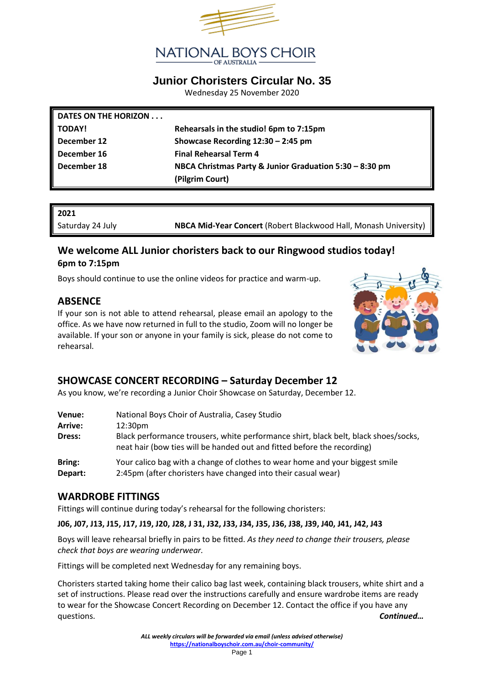

## **Junior Choristers Circular No. 35**

Wednesday 25 November 2020

| DATES ON THE HORIZON |                                                         |
|----------------------|---------------------------------------------------------|
| <b>TODAY!</b>        | Rehearsals in the studio! 6pm to 7:15pm                 |
| December 12          | Showcase Recording $12:30 - 2:45$ pm                    |
| December 16          | <b>Final Rehearsal Term 4</b>                           |
| December 18          | NBCA Christmas Party & Junior Graduation 5:30 - 8:30 pm |
|                      | (Pilgrim Court)                                         |

#### **2021**

Saturday 24 July **NBCA Mid-Year Concert** (Robert Blackwood Hall, Monash University)

### **We welcome ALL Junior choristers back to our Ringwood studios today! 6pm to 7:15pm**

Boys should continue to use the online videos for practice and warm-up.

### **ABSENCE**

If your son is not able to attend rehearsal, please email an apology to the office. As we have now returned in full to the studio, Zoom will no longer be available. If your son or anyone in your family is sick, please do not come to rehearsal.



# **SHOWCASE CONCERT RECORDING – Saturday December 12**

As you know, we're recording a Junior Choir Showcase on Saturday, December 12.

| Venue:  | National Boys Choir of Australia, Casey Studio                                                                                                                 |
|---------|----------------------------------------------------------------------------------------------------------------------------------------------------------------|
| Arrive: | 12:30 <sub>pm</sub>                                                                                                                                            |
| Dress:  | Black performance trousers, white performance shirt, black belt, black shoes/socks,<br>neat hair (bow ties will be handed out and fitted before the recording) |
| Bring:  | Your calico bag with a change of clothes to wear home and your biggest smile                                                                                   |
| Depart: | 2:45pm (after choristers have changed into their casual wear)                                                                                                  |

#### **WARDROBE FITTINGS**

Fittings will continue during today's rehearsal for the following choristers:

**J06, J07, J13, J15, J17, J19, J20, J28, J 31, J32, J33, J34, J35, J36, J38, J39, J40, J41, J42, J43**

Boys will leave rehearsal briefly in pairs to be fitted. *As they need to change their trousers, please check that boys are wearing underwear.*

Fittings will be completed next Wednesday for any remaining boys.

Choristers started taking home their calico bag last week, containing black trousers, white shirt and a set of instructions. Please read over the instructions carefully and ensure wardrobe items are ready to wear for the Showcase Concert Recording on December 12. Contact the office if you have any questions. *Continued…*